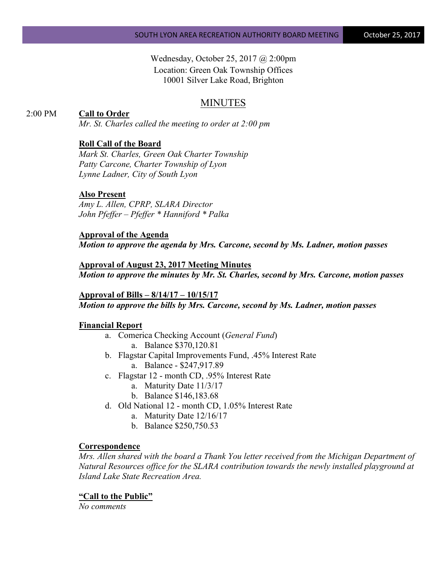# Wednesday, October 25, 2017 @ 2:00pm Location: Green Oak Township Offices 10001 Silver Lake Road, Brighton

# MINUTES

## 2:00 PM **Call to Order**

*Mr. St. Charles called the meeting to order at 2:00 pm*

#### **Roll Call of the Board**

*Mark St. Charles, Green Oak Charter Township Patty Carcone, Charter Township of Lyon Lynne Ladner, City of South Lyon* 

#### **Also Present**

*Amy L. Allen, CPRP, SLARA Director John Pfeffer – Pfeffer \* Hanniford \* Palka*

## **Approval of the Agenda**

*Motion to approve the agenda by Mrs. Carcone, second by Ms. Ladner, motion passes*

**Approval of August 23, 2017 Meeting Minutes** *Motion to approve the minutes by Mr. St. Charles, second by Mrs. Carcone, motion passes*

#### **Approval of Bills – 8/14/17 – 10/15/17** *Motion to approve the bills by Mrs. Carcone, second by Ms. Ladner, motion passes*

#### **Financial Report**

- a. Comerica Checking Account (*General Fund*) a. Balance \$370,120.81
- b. Flagstar Capital Improvements Fund, .45% Interest Rate a. Balance - \$247,917.89
- c. Flagstar 12 month CD, .95% Interest Rate
	- a. Maturity Date 11/3/17
	- b. Balance \$146,183.68
- d. Old National 12 month CD, 1.05% Interest Rate
	- a. Maturity Date 12/16/17
	- b. Balance \$250,750.53

#### **Correspondence**

*Mrs. Allen shared with the board a Thank You letter received from the Michigan Department of Natural Resources office for the SLARA contribution towards the newly installed playground at Island Lake State Recreation Area.*

#### **"Call to the Public"**

*No comments*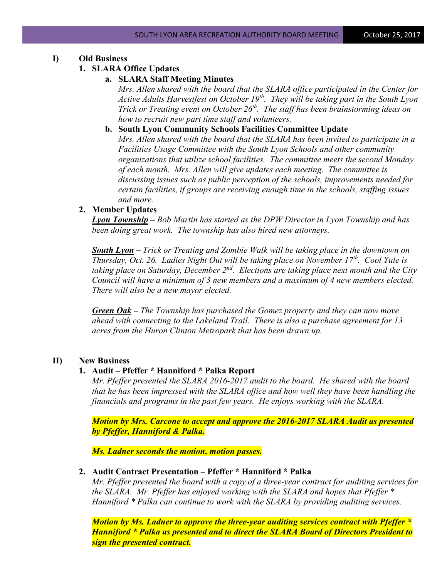## **I) Old Business**

#### **1. SLARA Office Updates**

### **a. SLARA Staff Meeting Minutes**

*Mrs. Allen shared with the board that the SLARA office participated in the Center for Active Adults Harvestfest on October 19<sup>th</sup>. They will be taking part in the South Lyon Trick or Treating event on October 26<sup>th</sup>. The staff has been brainstorming ideas on how to recruit new part time staff and volunteers.*

**b. South Lyon Community Schools Facilities Committee Update** *Mrs. Allen shared with the board that the SLARA has been invited to participate in a Facilities Usage Committee with the South Lyon Schools and other community organizations that utilize school facilities. The committee meets the second Monday of each month. Mrs. Allen will give updates each meeting. The committee is discussing issues such as public perception of the schools, improvements needed for certain facilities, if groups are receiving enough time in the schools, staffing issues and more.*

## **2. Member Updates**

*Lyon Township – Bob Martin has started as the DPW Director in Lyon Township and has been doing great work. The township has also hired new attorneys.*

*South Lyon – Trick or Treating and Zombie Walk will be taking place in the downtown on Thursday, Oct. 26. Ladies Night Out will be taking place on November 17th. Cool Yule is taking place on Saturday, December 2nd. Elections are taking place next month and the City Council will have a minimum of 3 new members and a maximum of 4 new members elected. There will also be a new mayor elected.*

*Green Oak – The Township has purchased the Gomez property and they can now move ahead with connecting to the Lakeland Trail. There is also a purchase agreement for 13 acres from the Huron Clinton Metropark that has been drawn up.*

## **II) New Business**

#### **1. Audit – Pfeffer \* Hanniford \* Palka Report**

*Mr. Pfeffer presented the SLARA 2016-2017 audit to the board. He shared with the board that he has been impressed with the SLARA office and how well they have been handling the financials and programs in the past few years. He enjoys working with the SLARA.*

*Motion by Mrs. Carcone to accept and approve the 2016-2017 SLARA Audit as presented by Pfeffer, Hanniford & Palka.* 

*Ms. Ladner seconds the motion, motion passes.*

#### **2. Audit Contract Presentation – Pfeffer \* Hanniford \* Palka**

*Mr. Pfeffer presented the board with a copy of a three-year contract for auditing services for the SLARA. Mr. Pfeffer has enjoyed working with the SLARA and hopes that Pfeffer \* Hanniford \* Palka can continue to work with the SLARA by providing auditing services.*

*Motion by Ms. Ladner to approve the three-year auditing services contract with Pfeffer \* Hanniford \* Palka as presented and to direct the SLARA Board of Directors President to sign the presented contract.*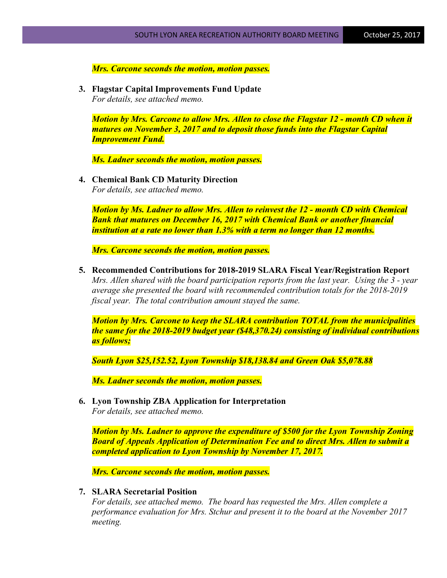*Mrs. Carcone seconds the motion, motion passes.*

**3. Flagstar Capital Improvements Fund Update** *For details, see attached memo.*

*Motion by Mrs. Carcone to allow Mrs. Allen to close the Flagstar 12 - month CD when it matures on November 3, 2017 and to deposit those funds into the Flagstar Capital Improvement Fund.*

*Ms. Ladner seconds the motion, motion passes.*

**4. Chemical Bank CD Maturity Direction** *For details, see attached memo.*

*Motion by Ms. Ladner to allow Mrs. Allen to reinvest the 12 - month CD with Chemical Bank that matures on December 16, 2017 with Chemical Bank or another financial institution at a rate no lower than 1.3% with a term no longer than 12 months.*

*Mrs. Carcone seconds the motion, motion passes.*

**5. Recommended Contributions for 2018-2019 SLARA Fiscal Year/Registration Report** *Mrs. Allen shared with the board participation reports from the last year. Using the 3 - year average she presented the board with recommended contribution totals for the 2018-2019 fiscal year. The total contribution amount stayed the same.*

*Motion by Mrs. Carcone to keep the SLARA contribution TOTAL from the municipalities the same for the 2018-2019 budget year (\$48,370.24) consisting of individual contributions as follows;* 

*South Lyon \$25,152.52, Lyon Township \$18,138.84 and Green Oak \$5,078.88*

*Ms. Ladner seconds the motion, motion passes.*

**6. Lyon Township ZBA Application for Interpretation** *For details, see attached memo.*

*Motion by Ms. Ladner to approve the expenditure of \$500 for the Lyon Township Zoning Board of Appeals Application of Determination Fee and to direct Mrs. Allen to submit a completed application to Lyon Township by November 17, 2017.*

*Mrs. Carcone seconds the motion, motion passes.*

#### **7. SLARA Secretarial Position**

*For details, see attached memo. The board has requested the Mrs. Allen complete a performance evaluation for Mrs. Stchur and present it to the board at the November 2017 meeting.*